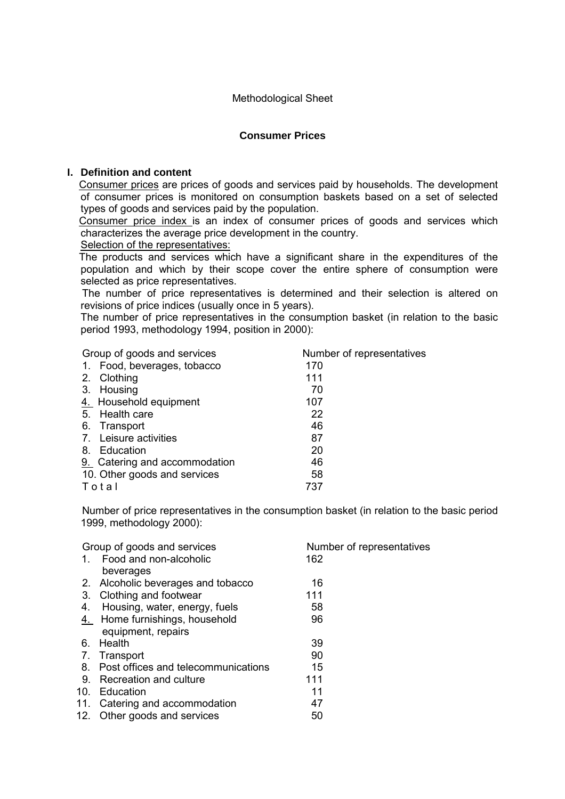# **Consumer Prices**

# **I. Definition and content**

 Consumer prices are prices of goods and services paid by households. The development of consumer prices is monitored on consumption baskets based on a set of selected types of goods and services paid by the population.

 Consumer price index is an index of consumer prices of goods and services which characterizes the average price development in the country.

Selection of the representatives:

 The products and services which have a significant share in the expenditures of the population and which by their scope cover the entire sphere of consumption were selected as price representatives.

 The number of price representatives is determined and their selection is altered on revisions of price indices (usually once in 5 years).

The number of price representatives in the consumption basket (in relation to the basic period 1993, methodology 1994, position in 2000):

| Number of representatives |
|---------------------------|
| 170                       |
| 111                       |
| 70                        |
| 107                       |
| 22                        |
| 46                        |
| 87                        |
| 20                        |
| 46                        |
| 58                        |
| 737                       |
|                           |

 Number of price representatives in the consumption basket (in relation to the basic period 1999, methodology 2000):

|               | Group of goods and services            | Number of representatives |  |
|---------------|----------------------------------------|---------------------------|--|
| 1.            | Food and non-alcoholic                 | 162                       |  |
|               | beverages                              |                           |  |
| 2.            | Alcoholic beverages and tobacco        | 16                        |  |
| 3.            | Clothing and footwear                  | 111                       |  |
| 4.            | Housing, water, energy, fuels          | 58                        |  |
| $\frac{4}{ }$ | Home furnishings, household            | 96                        |  |
|               | equipment, repairs                     |                           |  |
| 6.            | Health                                 | 39                        |  |
| 7.            | Transport                              | 90                        |  |
|               | 8. Post offices and telecommunications | 15                        |  |
| 9.            | Recreation and culture                 | 111                       |  |
| 10.           | Education                              | 11                        |  |
| 11.           | Catering and accommodation             | 47                        |  |
| 12.           | Other goods and services               | 50                        |  |
|               |                                        |                           |  |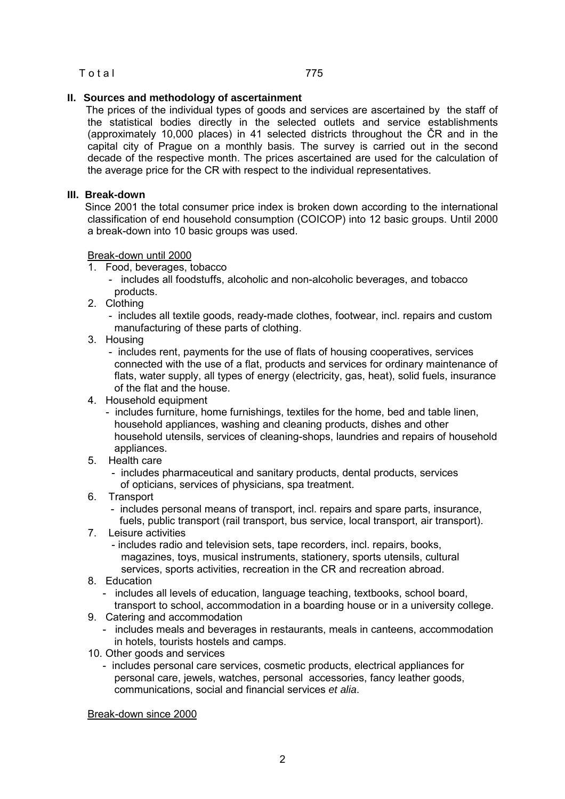# $Total \t\t 775$

# **II. Sources and methodology of ascertainment**

The prices of the individual types of goods and services are ascertained by the staff of the statistical bodies directly in the selected outlets and service establishments (approximately 10,000 places) in 41 selected districts throughout the ČR and in the capital city of Prague on a monthly basis. The survey is carried out in the second decade of the respective month. The prices ascertained are used for the calculation of the average price for the CR with respect to the individual representatives.

## **III. Break-down**

Since 2001 the total consumer price index is broken down according to the international classification of end household consumption (COICOP) into 12 basic groups. Until 2000 a break-down into 10 basic groups was used.

Break-down until 2000

- 1. Food, beverages, tobacco
	- includes all foodstuffs, alcoholic and non-alcoholic beverages, and tobacco products.
- 2. Clothing
	- includes all textile goods, ready-made clothes, footwear, incl. repairs and custom manufacturing of these parts of clothing.
- 3. Housing
	- includes rent, payments for the use of flats of housing cooperatives, services connected with the use of a flat, products and services for ordinary maintenance of flats, water supply, all types of energy (electricity, gas, heat), solid fuels, insurance of the flat and the house.
- 4. Household equipment
	- includes furniture, home furnishings, textiles for the home, bed and table linen, household appliances, washing and cleaning products, dishes and other household utensils, services of cleaning-shops, laundries and repairs of household appliances.
- 5. Health care

 - includes pharmaceutical and sanitary products, dental products, services of opticians, services of physicians, spa treatment.

- 6. Transport
	- includes personal means of transport, incl. repairs and spare parts, insurance, fuels, public transport (rail transport, bus service, local transport, air transport).
- 7. Leisure activities
	- includes radio and television sets, tape recorders, incl. repairs, books, magazines, toys, musical instruments, stationery, sports utensils, cultural services, sports activities, recreation in the CR and recreation abroad.
- 8. Education
	- includes all levels of education, language teaching, textbooks, school board, transport to school, accommodation in a boarding house or in a university college.
- 9. Catering and accommodation
	- includes meals and beverages in restaurants, meals in canteens, accommodation in hotels, tourists hostels and camps.
- 10. Other goods and services
	- includes personal care services, cosmetic products, electrical appliances for personal care, jewels, watches, personal accessories, fancy leather goods, communications, social and financial services *et alia*.

Break-down since 2000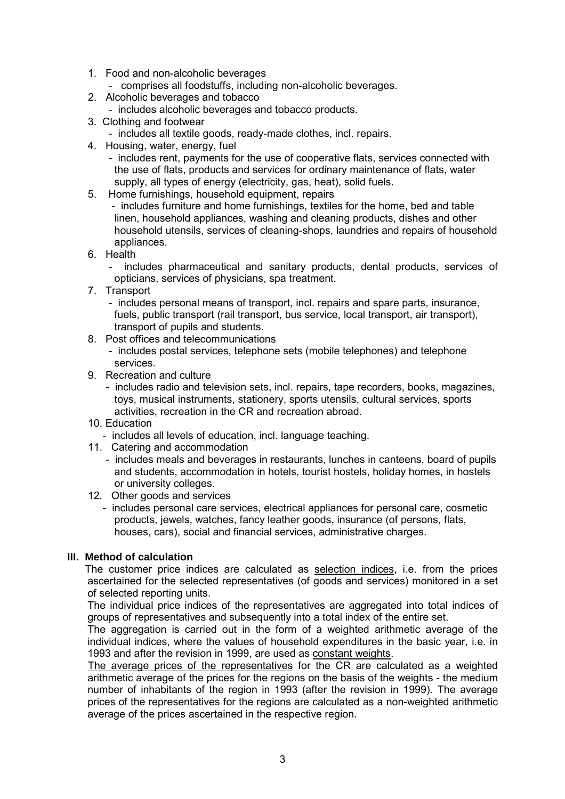- 1. Food and non-alcoholic beverages
	- comprises all foodstuffs, including non-alcoholic beverages.
- 2. Alcoholic beverages and tobacco
	- includes alcoholic beverages and tobacco products.
- 3. Clothing and footwear
	- includes all textile goods, ready-made clothes, incl. repairs.
- 4. Housing, water, energy, fuel
	- includes rent, payments for the use of cooperative flats, services connected with the use of flats, products and services for ordinary maintenance of flats, water supply, all types of energy (electricity, gas, heat), solid fuels.
- 5. Home furnishings, household equipment, repairs
	- includes furniture and home furnishings, textiles for the home, bed and table linen, household appliances, washing and cleaning products, dishes and other household utensils, services of cleaning-shops, laundries and repairs of household appliances.
- 6. Health
	- includes pharmaceutical and sanitary products, dental products, services of opticians, services of physicians, spa treatment.
- 7. Transport
	- includes personal means of transport, incl. repairs and spare parts, insurance, fuels, public transport (rail transport, bus service, local transport, air transport), transport of pupils and students.
- 8. Post offices and telecommunications
	- includes postal services, telephone sets (mobile telephones) and telephone services.
- 9. Recreation and culture
	- includes radio and television sets, incl. repairs, tape recorders, books, magazines, toys, musical instruments, stationery, sports utensils, cultural services, sports activities, recreation in the CR and recreation abroad.
- 10. Education
	- includes all levels of education, incl. language teaching.
- 11. Catering and accommodation
	- includes meals and beverages in restaurants, lunches in canteens, board of pupils and students, accommodation in hotels, tourist hostels, holiday homes, in hostels or university colleges.
- 12. Other goods and services
	- includes personal care services, electrical appliances for personal care, cosmetic products, jewels, watches, fancy leather goods, insurance (of persons, flats, houses, cars), social and financial services, administrative charges.

# **III. Method of calculation**

The customer price indices are calculated as selection indices, i.e. from the prices ascertained for the selected representatives (of goods and services) monitored in a set of selected reporting units.

The individual price indices of the representatives are aggregated into total indices of groups of representatives and subsequently into a total index of the entire set.

The aggregation is carried out in the form of a weighted arithmetic average of the individual indices, where the values of household expenditures in the basic year, i.e. in 1993 and after the revision in 1999, are used as constant weights.

The average prices of the representatives for the CR are calculated as a weighted arithmetic average of the prices for the regions on the basis of the weights - the medium number of inhabitants of the region in 1993 (after the revision in 1999). The average prices of the representatives for the regions are calculated as a non-weighted arithmetic average of the prices ascertained in the respective region.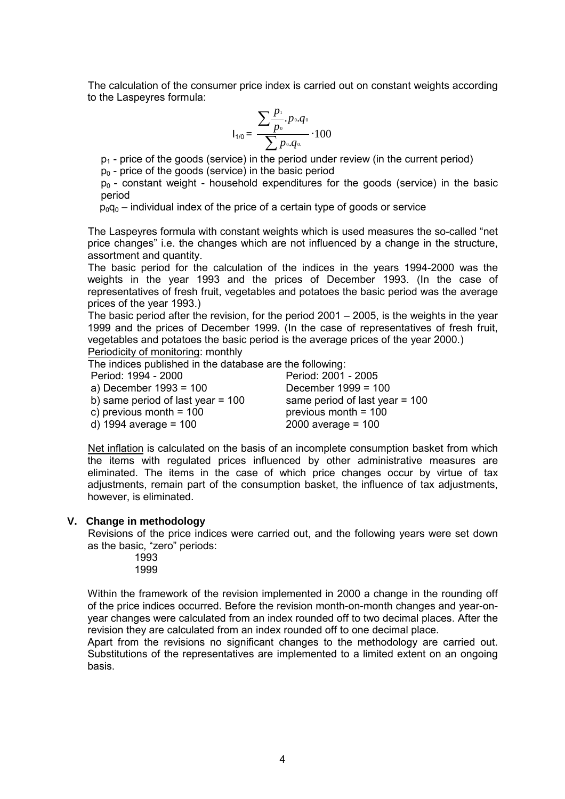The calculation of the consumer price index is carried out on constant weights according to the Laspeyres formula:

$$
I_{1/0} = \frac{\sum \frac{p_1}{p_0} p_0 q_0}{\sum p_0 q_0} \cdot 100
$$

 $p_1$  - price of the goods (service) in the period under review (in the current period)

 $p_0$  - price of the goods (service) in the basic period

 $p_0$  - constant weight - household expenditures for the goods (service) in the basic period

 $p_0q_0$  – individual index of the price of a certain type of goods or service

The Laspeyres formula with constant weights which is used measures the so-called "net" price changes" i.e. the changes which are not influenced by a change in the structure, assortment and quantity.

The basic period for the calculation of the indices in the years 1994-2000 was the weights in the year 1993 and the prices of December 1993. (In the case of representatives of fresh fruit, vegetables and potatoes the basic period was the average prices of the year 1993.)

The basic period after the revision, for the period  $2001 - 2005$ , is the weights in the year 1999 and the prices of December 1999. (In the case of representatives of fresh fruit, vegetables and potatoes the basic period is the average prices of the year 2000.) Periodicity of monitoring: monthly

The indices published in the database are the following:

Period: 1994 - 2000 Period: 2001 - 2005

a) December 1993 = 100 December 1999 = 100 b) same period of last year =  $100$  same period of last year =  $100$ c) previous month  $= 100$  previous month  $= 100$ d) 1994 average = 100 2000 average = 100

Net inflation is calculated on the basis of an incomplete consumption basket from which the items with regulated prices influenced by other administrative measures are eliminated. The items in the case of which price changes occur by virtue of tax adjustments, remain part of the consumption basket, the influence of tax adjustments, however, is eliminated.

# **V. Change in methodology**

 Revisions of the price indices were carried out, and the following years were set down as the basic, "zero" periods:

1993 1999

Within the framework of the revision implemented in 2000 a change in the rounding off of the price indices occurred. Before the revision month-on-month changes and year-onyear changes were calculated from an index rounded off to two decimal places. After the revision they are calculated from an index rounded off to one decimal place.

Apart from the revisions no significant changes to the methodology are carried out. Substitutions of the representatives are implemented to a limited extent on an ongoing basis.